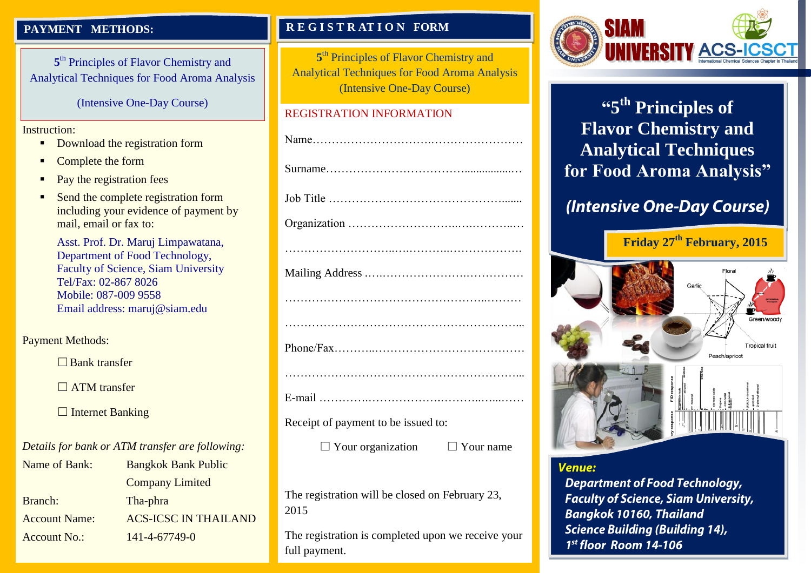### **PAYMENT METHODS:**

5<sup>th</sup> Principles of Flavor Chemistry and Analytical Techniques for Food Aroma Analysis

(Intensive One-Day Course)

### Instruction:

- Download the registration form
- Complete the form
- Pay the registration fees
- Send the complete registration form including your evidence of payment by mail, email or fax to:

Asst. Prof. Dr. Maruj Limpawatana, Department of Food Technology, Faculty of Science, Siam University Tel/Fax: 02-867 8026 Mobile: 087-009 9558 Email address: maruj@siam.edu

Payment Methods:

☐Bank transfer

 $\Box$  ATM transfer

□ Internet Banking

*Details for bank or ATM transfer are following:*

| Name of Bank:        | <b>Bangkok Bank Public</b>  |
|----------------------|-----------------------------|
|                      | <b>Company Limited</b>      |
| Branch:              | Tha-phra                    |
| <b>Account Name:</b> | <b>ACS-ICSC IN THAILAND</b> |
| <b>Account No.:</b>  | 141-4-67749-0               |
|                      |                             |

### **R E G I S T R AT I O N FORM**

5<sup>th</sup> Principles of Flavor Chemistry and Analytical Techniques for Food Aroma Analysis (Intensive One-Day Course)

### REGISTRATION INFORMATION

Receipt of payment to be issued to:

 $\Box$  Your organization  $\Box$  Your name

The registration will be closed on February 23, 2015

The registration is completed upon we receive your full payment.



**"5 th Principles of Flavor Chemistry and Analytical Techniques for Food Aroma Analysis"**

# (Intensive One-Day Course)



### **Venue:**

**Department of Food Technology, Faculty of Science, Siam University, Bangkok 10160, Thailand Science Building (Building 14),**  $1<sup>st</sup>$  floor Room 14-106